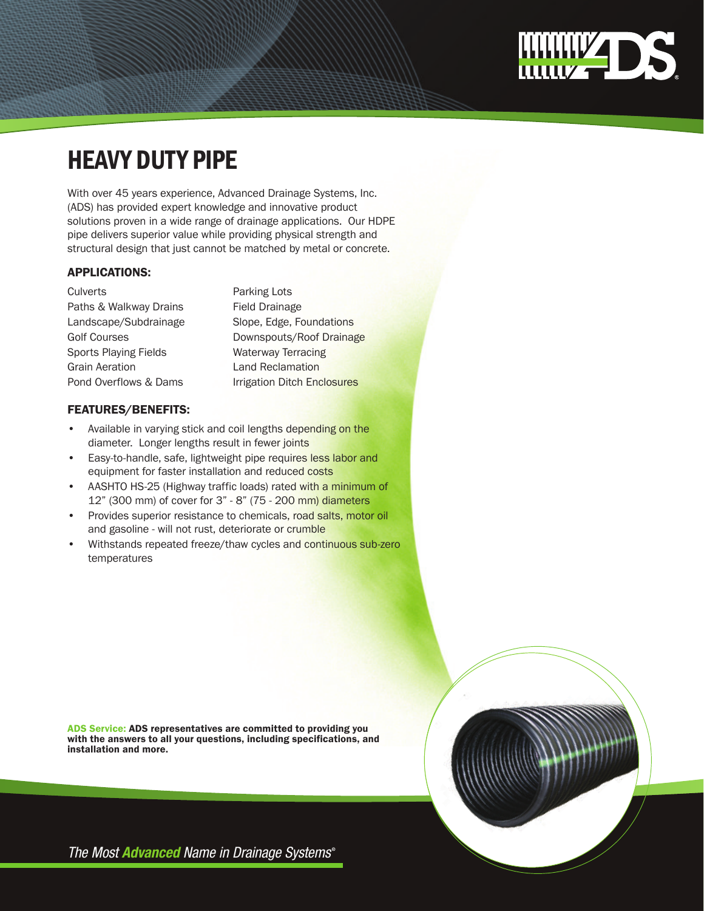# **WWW4D3**

## Heavy duty pipe

With over 45 years experience, Advanced Drainage Systems, Inc. (ADS) has provided expert knowledge and innovative product solutions proven in a wide range of drainage applications. Our HDPE pipe delivers superior value while providing physical strength and structural design that just cannot be matched by metal or concrete.

#### applications:

Culverts **Parking Lots** Paths & Walkway Drains Field Drainage Landscape/Subdrainage Slope, Edge, Foundations Sports Playing Fields Waterway Terracing Grain Aeration **Land Reclamation** 

Golf Courses **Downspouts/Roof Drainage** Pond Overflows & Dams<br>Irrigation Ditch Enclosures

#### FEATURES/Benefits:

- Available in varying stick and coil lengths depending on the diameter. Longer lengths result in fewer joints
- Easy-to-handle, safe, lightweight pipe requires less labor and equipment for faster installation and reduced costs
- AASHTO HS-25 (Highway traffic loads) rated with a minimum of 12" (300 mm) of cover for 3" - 8" (75 - 200 mm) diameters
- Provides superior resistance to chemicals, road salts, motor oil and gasoline - will not rust, deteriorate or crumble
- Withstands repeated freeze/thaw cycles and continuous sub-zero temperatures

ADS Service: ADS representatives are committed to providing you with the answers to all your questions, including specifications, and installation and more.

The Most **Advanced** Name in Drainage Systems®